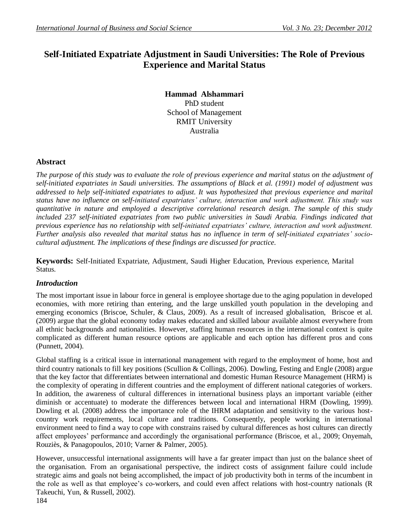# **Self-Initiated Expatriate Adjustment in Saudi Universities: The Role of Previous Experience and Marital Status**

**Hammad Alshammari**  PhD student School of Management RMIT University Australia

# **Abstract**

*The purpose of this study was to evaluate the role of previous experience and marital status on the adjustment of self-initiated expatriates in Saudi universities. The assumptions of Black et al. (1991) model of adjustment was addressed to help self-initiated expatriates to adjust. It was hypothesized that previous experience and marital status have no influence on self-initiated expatriates' culture, interaction and work adjustment. This study was quantitative in nature and employed a descriptive correlational research design. The sample of this study included 237 self-initiated expatriates from two public universities in Saudi Arabia. Findings indicated that previous experience has no relationship with self-initiated expatriates' culture, interaction and work adjustment. Further analysis also revealed that marital status has no influence in term of self-initiated expatriates' sociocultural adjustment. The implications of these findings are discussed for practice.*

**Keywords:** Self-Initiated Expatriate, Adjustment, Saudi Higher Education, Previous experience, Marital Status.

## *Introduction*

The most important issue in labour force in general is employee shortage due to the aging population in developed economies, with more retiring than entering, and the large unskilled youth population in the developing and emerging economics [\(Briscoe, Schuler, & Claus, 2009\)](#page-9-0). As a result of increased globalisation, Briscoe et al. [\(2009\)](#page-9-0) argue that the global economy today makes educated and skilled labour available almost everywhere from all ethnic backgrounds and nationalities. However, staffing human resources in the international context is quite complicated as different human resource options are applicable and each option has different pros and cons [\(Punnett, 2004\)](#page-10-0).

Global staffing is a critical issue in international management with regard to the employment of home, host and third country nationals to fill key positions [\(Scullion & Collings, 2006\)](#page-10-1). Dowling, Festing and Engle [\(2008\)](#page-9-1) argue that the key factor that differentiates between international and domestic Human Resource Management (HRM) is the complexity of operating in different countries and the employment of different national categories of workers. In addition, the awareness of cultural differences in international business plays an important variable (either diminish or accentuate) to moderate the differences between local and international HRM [\(Dowling, 1999\)](#page-9-2). Dowling et al. [\(2008\)](#page-9-1) address the importance role of the IHRM adaptation and sensitivity to the various hostcountry work requirements, local culture and traditions. Consequently, people working in international environment need to find a way to cope with constrains raised by cultural differences as host cultures can directly affect employees" performance and accordingly the organisational performance [\(Briscoe, et al., 2009;](#page-9-0) [Onyemah,](#page-10-2)  [Rouziès, & Panagopoulos, 2010;](#page-10-2) [Varner & Palmer, 2005\)](#page-10-3).

However, unsuccessful international assignments will have a far greater impact than just on the balance sheet of the organisation. From an organisational perspective, the indirect costs of assignment failure could include strategic aims and goals not being accomplished, the impact of job productivity both in terms of the incumbent in the role as well as that employee"s co-workers, and could even affect relations with host-country nationals [\(R](#page-10-4)  [Takeuchi, Yun, & Russell, 2002\)](#page-10-4).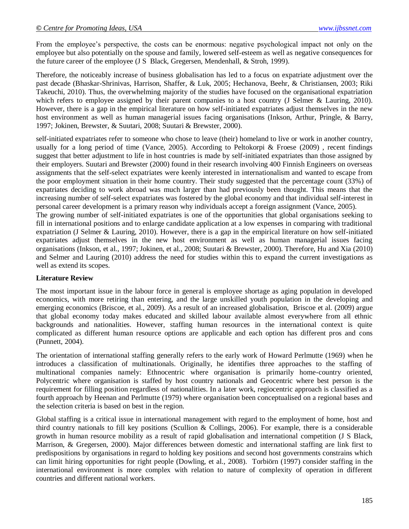From the employee's perspective, the costs can be enormous: negative psychological impact not only on the employee but also potentially on the spouse and family, lowered self-esteem as well as negative consequences for the future career of the employee [\(J S Black, Gregersen, Mendenhall, & Stroh, 1999\)](#page-9-3).

Therefore, the noticeably increase of business globalisation has led to a focus on expatriate adjustment over the past decade [\(Bhaskar-Shrinivas, Harrison, Shaffer, & Luk, 2005;](#page-8-0) [Hechanova, Beehr, & Christiansen, 2003;](#page-9-4) [Riki](#page-10-5)  [Takeuchi, 2010\)](#page-10-5). Thus, the overwhelming majority of the studies have focused on the organisational expatriation which refers to employee assigned by their parent companies to a host country [\(J Selmer & Lauring, 2010\)](#page-10-6). However, there is a gap in the empirical literature on how self-initiated expatriates adjust themselves in the new host environment as well as human managerial issues facing organisations [\(Inkson, Arthur, Pringle, & Barry,](#page-9-5)  [1997;](#page-9-5) [Jokinen, Brewster, & Suutari, 2008;](#page-9-6) [Suutari & Brewster, 2000\)](#page-10-7).

self-initiated expatriates refer to someone who chose to leave (their) homeland to live or work in another country, usually for a long period of time [\(Vance, 2005\)](#page-10-8). According to Peltokorpi & Froese [\(2009\)](#page-10-9) , recent findings suggest that better adjustment to life in host countries is made by self-initiated expatriates than those assigned by their employers. Suutari and Brewster [\(2000\)](#page-10-7) found in their research involving 400 Finnish Engineers on overseas assignments that the self-select expatriates were keenly interested in internationalism and wanted to escape from the poor employment situation in their home country. Their study suggested that the percentage count (33%) of expatriates deciding to work abroad was much larger than had previously been thought. This means that the increasing number of self-select expatriates was fostered by the global economy and that individual self-interest in personal career development is a primary reason why individuals accept a foreign assignment [\(Vance, 2005\)](#page-10-8).

The growing number of self-initiated expatriates is one of the opportunities that global organisations seeking to fill in international positions and to enlarge candidate application at a low expenses in comparing with traditional expatriation [\(J Selmer & Lauring, 2010\)](#page-10-6). However, there is a gap in the empirical literature on how self-initiated expatriates adjust themselves in the new host environment as well as human managerial issues facing organisations [\(Inkson, et al., 1997;](#page-9-5) [Jokinen, et al., 2008;](#page-9-6) [Suutari & Brewster, 2000\)](#page-10-7). Therefore, Hu and Xia [\(2010\)](#page-9-7) and Selmer and Lauring [\(2010\)](#page-10-6) address the need for studies within this to expand the current investigations as well as extend its scopes.

#### **Literature Review**

The most important issue in the labour force in general is employee shortage as aging population in developed economics, with more retiring than entering, and the large unskilled youth population in the developing and emerging economics [\(Briscoe, et al., 2009\)](#page-9-0). As a result of an increased globalisation, Briscoe et al. [\(2009\)](#page-9-0) argue that global economy today makes educated and skilled labour available almost everywhere from all ethnic backgrounds and nationalities. However, staffing human resources in the international context is quite complicated as different human resource options are applicable and each option has different pros and cons [\(Punnett, 2004\)](#page-10-0).

The orientation of international staffing generally refers to the early work of Howard Perlmutte [\(1969\)](#page-10-10) when he introduces a classification of multinationals. Originally, he identifies three approaches to the staffing of multinational companies namely: Ethnocentric where organisation is primarily home-country oriented, Polycentric where organisation is staffed by host country nationals and Geocentric where best person is the requirement for filling position regardless of nationalities. In a later work, regiocentric approach is classified as a fourth approach by Heenan and Perlmutte [\(1979\)](#page-9-8) where organisation been conceptualised on a regional bases and the selection criteria is based on best in the region.

Global staffing is a critical issue in international management with regard to the employment of home, host and third country nationals to fill key positions [\(Scullion & Collings, 2006\)](#page-10-1). For example, there is a considerable growth in human resource mobility as a result of rapid globalisation and international competition [\(J S Black,](#page-9-9)  [Marrison, & Gregersen, 2000\)](#page-9-9). Major differences between domestic and international staffing are link first to predispositions by organisations in regard to holding key positions and second host governments constrains which can limit hiring opportunities for right people [\(Dowling, et al., 2008\)](#page-9-1). Torbiörn [\(1997\)](#page-10-11) consider staffing in the international environment is more complex with relation to nature of complexity of operation in different countries and different national workers.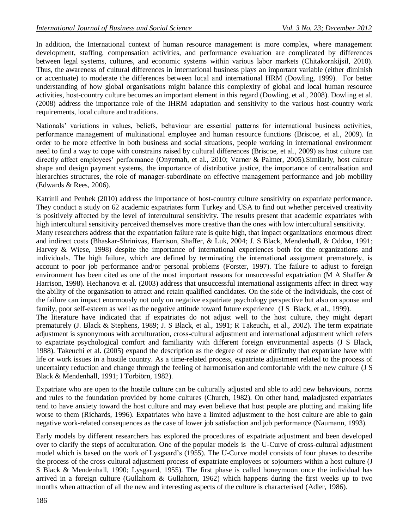In addition, the International context of human resource management is more complex, where management development, staffing, compensation activities, and performance evaluation are complicated by differences between legal systems, cultures, and economic systems within various labor markets [\(Chitakornkijsil, 2010\)](#page-9-10). Thus, the awareness of cultural differences in international business plays an important variable (either diminish or accentuate) to moderate the differences between local and international HRM [\(Dowling, 1999\)](#page-9-2). For better understanding of how global organisations might balance this complexity of global and local human resource activities, host-country culture becomes an important element in this regard [\(Dowling, et al., 2008\)](#page-9-1). Dowling et al. [\(2008\)](#page-9-1) address the importance role of the IHRM adaptation and sensitivity to the various host-country work requirements, local culture and traditions.

Nationals" variations in values, beliefs, behaviour are essential patterns for international business activities, performance management of multinational employee and human resource functions [\(Briscoe, et al., 2009\)](#page-9-0). In order to be more effective in both business and social situations, people working in international environment need to find a way to cope with constrains raised by cultural differences [\(Briscoe, et al., 2009\)](#page-9-0) as host culture can directly affect employees' performance [\(Onyemah, et al., 2010;](#page-10-2) [Varner & Palmer, 2005\)](#page-10-3). Similarly, host culture shape and design payment systems, the importance of distributive justice, the importance of centralisation and hierarchies structures, the role of manager-subordinate on effective management performance and job mobility [\(Edwards & Rees, 2006\)](#page-9-11).

Katrinli and Penbek [\(2010\)](#page-9-12) address the importance of host-country culture sensitivity on expatriate performance. They conduct a study on 62 academic expatriates form Turkey and USA to find out whether perceived creativity is positively affected by the level of intercultural sensitivity. The results present that academic expatriates with high intercultural sensitivity perceived themselves more creative than the ones with low intercultural sensitivity.

Many researchers address that the expatriation failure rate is quite high, that impact organizations enormous direct and indirect costs [\(Bhaskar-Shrinivas, Harrison, Shaffer, & Luk, 2004;](#page-8-1) [J. S Black, Mendenhall, & Oddou, 1991;](#page-9-13) [Harvey & Wiese, 1998\)](#page-9-14) despite the importance of international experiences both for the organizations and individuals. The high failure, which are defined by terminating the international assignment prematurely, is account to poor job performance and/or personal problems [\(Forster, 1997\)](#page-9-15). The failure to adjust to foreign environment has been cited as one of the most important reasons for unsuccessful expatriation [\(M A Shaffer &](#page-10-12)  [Harrison, 1998\)](#page-10-12). Hechanova et al. [\(2003\)](#page-9-4) address that unsuccessful international assignments affect in direct way the ability of the organisation to attract and retain qualified candidates. On the side of the individuals, the cost of the failure can impact enormously not only on negative expatriate psychology perspective but also on spouse and family, poor self-esteem as well as the negative attitude toward future experience [\(J S Black, et al., 1999\)](#page-9-3).

The literature have indicated that if expatriates do not adjust well to the host culture, they might depart prematurely [\(J. Black & Stephens, 1989;](#page-8-2) [J. S Black, et al., 1991;](#page-9-13) [R Takeuchi, et al., 2002\)](#page-10-4). The term expatriate adjustment is synonymous with acculturation, cross-cultural adjustment and international adjustment which refers to expatriate psychological comfort and familiarity with different foreign environmental aspects [\(J S Black,](#page-8-3)  [1988\)](#page-8-3). Takeuchi et al. [\(2005\)](#page-10-13) expand the description as the degree of ease or difficulty that expatriate have with life or work issues in a hostile country. As a time-related process, expatriate adjustment related to the process of uncertainty reduction and change through the feeling of harmonisation and comfortable with the new culture [\(J S](#page-9-16)  [Black & Mendenhall, 1991;](#page-9-16) [I Torbiörn, 1982\)](#page-10-14).

Expatriate who are open to the hostile culture can be culturally adjusted and able to add new behaviours, norms and rules to the foundation provided by home cultures [\(Church, 1982\)](#page-9-17). On other hand, maladjusted expatriates tend to have anxiety toward the host culture and may even believe that host people are plotting and making life worse to them [\(Richards, 1996\)](#page-10-15). Expatriates who have a limited adjustment to the host culture are able to gain negative work-related consequences as the case of lower job satisfaction and job performance [\(Naumann, 1993\)](#page-10-16).

Early models by different researchers has explored the procedures of expatriate adjustment and been developed over to clarify the steps of acculturation. One of the popular models is the U-Curve of cross-cultural adjustment model which is based on the work of Lysgaard"s [\(1955\)](#page-9-18). The U-Curve model consists of four phases to describe the process of the cross-cultural adjustment process of expatriate employees or sojourners within a host culture [\(J](#page-9-19)  [S Black & Mendenhall, 1990;](#page-9-19) [Lysgaard, 1955\)](#page-9-18). The first phase is called honeymoon once the individual has arrived in a foreign culture [\(Gullahorn & Gullahorn, 1962\)](#page-9-20) which happens during the first weeks up to two months when attraction of all the new and interesting aspects of the culture is characterised [\(Adler, 1986\)](#page-8-4).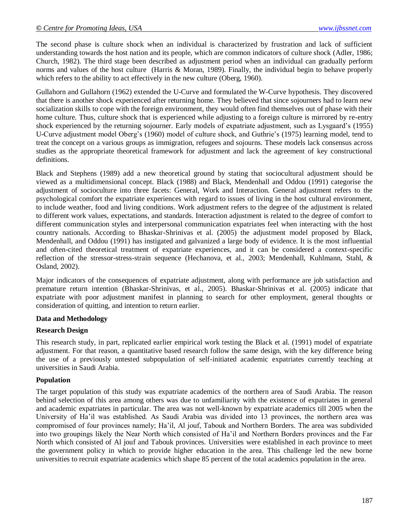The second phase is culture shock when an individual is characterized by frustration and lack of sufficient understanding towards the host nation and its people, which are common indicators of culture shock [\(Adler, 1986;](#page-8-4) [Church, 1982\)](#page-9-17). The third stage been described as adjustment period when an individual can gradually perform norms and values of the host culture [\(Harris & Moran, 1989\)](#page-9-21). Finally, the individual begin to behave properly which refers to the ability to act effectively in the new culture [\(Oberg, 1960\)](#page-10-17).

Gullahorn and Gullahorn [\(1962\)](#page-9-20) extended the U-Curve and formulated the W-Curve hypothesis. They discovered that there is another shock experienced after returning home. They believed that since sojourners had to learn new socialization skills to cope with the foreign environment, they would often find themselves out of phase with their home culture. Thus, culture shock that is experienced while adjusting to a foreign culture is mirrored by re-entry shock experienced by the returning sojourner. Early models of expatriate adjustment, such as Lysgaard"s [\(1955\)](#page-9-18) U-Curve adjustment model Oberg"s [\(1960\)](#page-10-17) model of culture shock, and Guthrie"s [\(1975\)](#page-9-22) learning model, tend to treat the concept on a various groups as immigration, refugees and sojourns. These models lack consensus across studies as the appropriate theoretical framework for adjustment and lack the agreement of key constructional definitions.

Black and Stephens [\(1989\)](#page-8-2) add a new theoretical ground by stating that sociocultural adjustment should be viewed as a multidimensional concept. Black [\(1988\)](#page-8-3) and Black, Mendenhall and Oddou [\(1991\)](#page-9-13) categorise the adjustment of socioculture into three facets: General, Work and Interaction. General adjustment refers to the psychological comfort the expatriate experiences with regard to issues of living in the host cultural environment, to include weather, food and living conditions. Work adjustment refers to the degree of the adjustment is related to different work values, expectations, and standards. Interaction adjustment is related to the degree of comfort to different communication styles and interpersonal communication expatriates feel when interacting with the host country nationals. According to Bhaskar-Shrinivas et al. [\(2005\)](#page-8-0) the adjustment model proposed by Black, Mendenhall, and Oddou [\(1991\)](#page-9-13) has instigated and galvanized a large body of evidence. It is the most influential and often-cited theoretical treatment of expatriate experiences, and it can be considered a context-specific reflection of the stressor-stress-strain sequence [\(Hechanova, et al., 2003;](#page-9-4) [Mendenhall, Kuhlmann, Stahl, &](#page-10-18)  [Osland, 2002\)](#page-10-18).

Major indicators of the consequences of expatriate adjustment, along with performance are job satisfaction and premature return intention [\(Bhaskar-Shrinivas, et al., 2005\)](#page-8-0). Bhaskar-Shrinivas et al. [\(2005\)](#page-8-0) indicate that expatriate with poor adjustment manifest in planning to search for other employment, general thoughts or consideration of quitting, and intention to return earlier.

#### **Data and Methodology**

### **Research Design**

This research study, in part, replicated earlier empirical work testing the Black et al. (1991) model of expatriate adjustment. For that reason, a quantitative based research follow the same design, with the key difference being the use of a previously untested subpopulation of self-initiated academic expatriates currently teaching at universities in Saudi Arabia.

#### **Population**

The target population of this study was expatriate academics of the northern area of Saudi Arabia. The reason behind selection of this area among others was due to unfamiliarity with the existence of expatriates in general and academic expatriates in particular. The area was not well-known by expatriate academics till 2005 when the University of Ha"il was established. As Saudi Arabia was divided into 13 provinces, the northern area was compromised of four provinces namely; Ha"il, Al jouf, Tabouk and Northern Borders. The area was subdivided into two groupings likely the Near North which consisted of Ha"il and Northern Borders provinces and the Far North which consisted of Al jouf and Tabouk provinces. Universities were established in each province to meet the government policy in which to provide higher education in the area. This challenge led the new borne universities to recruit expatriate academics which shape 85 percent of the total academics population in the area.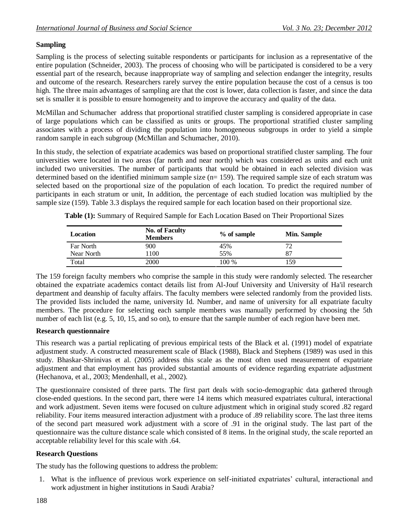# **Sampling**

Sampling is the process of selecting suitable respondents or participants for inclusion as a representative of the entire population [\(Schneider, 2003\)](#page-10-19). The process of choosing who will be participated is considered to be a very essential part of the research, because inappropriate way of sampling and selection endanger the integrity, results and outcome of the research. Researchers rarely survey the entire population because the cost of a census is too high. The three main advantages of sampling are that the cost is lower, data collection is faster, and since the data set is smaller it is possible to ensure homogeneity and to improve the accuracy and quality of the data.

McMillan and Schumacher address that proportional stratified cluster sampling is considered appropriate in case of large populations which can be classified as units or groups. The proportional stratified cluster sampling associates with a process of dividing the population into homogeneous subgroups in order to yield a simple random sample in each subgroup (McMillan and Schumacher, 2010).

In this study, the selection of expatriate academics was based on proportional stratified cluster sampling. The four universities were located in two areas (far north and near north) which was considered as units and each unit included two universities. The number of participants that would be obtained in each selected division was determined based on the identified minimum sample size (n= 159). The required sample size of each stratum was selected based on the proportional size of the population of each location. To predict the required number of participants in each stratum or unit, In addition, the percentage of each studied location was multiplied by the sample size (159). Table 3.3 displays the required sample for each location based on their proportional size.

| Location   | <b>No. of Faculty</b><br><b>Members</b> | % of sample | <b>Min. Sample</b> |
|------------|-----------------------------------------|-------------|--------------------|
| Far North  | 900                                     | 45%         |                    |
| Near North | 1100                                    | 55%         | 87                 |
| Total      | 2000                                    | 100 %       | 59ء                |

**Table (1):** Summary of Required Sample for Each Location Based on Their Proportional Sizes

The 159 foreign faculty members who comprise the sample in this study were randomly selected. The researcher obtained the expatriate academics contact details list from Al-Jouf University and University of Ha'il research department and deanship of faculty affairs. The faculty members were selected randomly from the provided lists. The provided lists included the name, university Id. Number, and name of university for all expatriate faculty members. The procedure for selecting each sample members was manually performed by choosing the 5th number of each list (e.g. 5, 10, 15, and so on), to ensure that the sample number of each region have been met.

# **Research questionnaire**

This research was a partial replicating of previous empirical tests of the Black et al. (1991) model of expatriate adjustment study. A constructed measurement scale of Black [\(1988\)](#page-8-3), Black and Stephens [\(1989\)](#page-8-2) was used in this study. Bhaskar-Shrinivas et al. (2005) address this scale as the most often used measurement of expatriate adjustment and that employment has provided substantial amounts of evidence regarding expatriate adjustment [\(Hechanova, et al., 2003;](#page-9-4) [Mendenhall, et al., 2002\)](#page-10-18).

The questionnaire consisted of three parts. The first part deals with socio-demographic data gathered through close-ended questions. In the second part, there were 14 items which measured expatriates cultural, interactional and work adjustment. Seven items were focused on culture adjustment which in original study scored .82 regard reliability. Four items measured interaction adjustment with a produce of .89 reliability score. The last three items of the second part measured work adjustment with a score of .91 in the original study. The last part of the questionnaire was the culture distance scale which consisted of 8 items. In the original study, the scale reported an acceptable reliability level for this scale with .64.

# **Research Questions**

The study has the following questions to address the problem:

1. What is the influence of previous work experience on self-initiated expatriates" cultural, interactional and work adjustment in higher institutions in Saudi Arabia?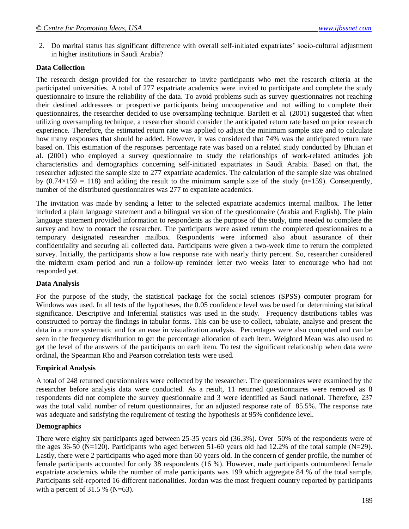2. Do marital status has significant difference with overall self-initiated expatriates" socio-cultural adjustment in higher institutions in Saudi Arabia?

### **Data Collection**

The research design provided for the researcher to invite participants who met the research criteria at the participated universities. A total of 277 expatriate academics were invited to participate and complete the study questionnaire to insure the reliability of the data. To avoid problems such as survey questionnaires not reaching their destined addressees or prospective participants being uncooperative and not willing to complete their questionnaires, the researcher decided to use oversampling technique. Bartlett et al. [\(2001\)](#page-8-5) suggested that when utilizing oversampling technique, a researcher should consider the anticipated return rate based on prior research experience. Therefore, the estimated return rate was applied to adjust the minimum sample size and to calculate how many responses that should be added. However, it was considered that 74% was the anticipated return rate based on. This estimation of the responses percentage rate was based on a related study conducted by Bhuian et al. [\(2001\)](#page-8-6) who employed a survey questionnaire to study the relationships of work-related attitudes job characteristics and demographics concerning self-initiated expatriates in Saudi Arabia. Based on that, the researcher adjusted the sample size to 277 expatriate academics. The calculation of the sample size was obtained by  $(0.74\times159 = 118)$  and adding the result to the minimum sample size of the study (n=159). Consequently, number of the distributed questionnaires was 277 to expatriate academics.

The invitation was made by sending a letter to the selected expatriate academics internal mailbox. The letter included a plain language statement and a bilingual version of the questionnaire (Arabia and English). The plain language statement provided information to respondents as the purpose of the study, time needed to complete the survey and how to contact the researcher. The participants were asked return the completed questionnaires to a temporary designated researcher mailbox. Respondents were informed also about assurance of their confidentiality and securing all collected data. Participants were given a two-week time to return the completed survey. Initially, the participants show a low response rate with nearly thirty percent. So, researcher considered the midterm exam period and run a follow-up reminder letter two weeks later to encourage who had not responded yet.

#### **Data Analysis**

For the purpose of the study, the statistical package for the social sciences (SPSS) computer program for Windows was used. In all tests of the hypotheses, the 0.05 confidence level was be used for determining statistical significance. Descriptive and Inferential statistics was used in the study. Frequency distributions tables was constructed to portray the findings in tabular forms. This can be use to collect, tabulate, analyse and present the data in a more systematic and for an ease in visualization analysis. Percentages were also computed and can be seen in the frequency distribution to get the percentage allocation of each item. Weighted Mean was also used to get the level of the answers of the participants on each item. To test the significant relationship when data were ordinal, the Spearman Rho and Pearson correlation tests were used.

## **Empirical Analysis**

A total of 248 returned questionnaires were collected by the researcher. The questionnaires were examined by the researcher before analysis data were conducted. As a result, 11 returned questionnaires were removed as 8 respondents did not complete the survey questionnaire and 3 were identified as Saudi national. Therefore, 237 was the total valid number of return questionnaires, for an adjusted response rate of 85.5%. The response rate was adequate and satisfying the requirement of testing the hypothesis at 95% confidence level.

#### **Demographics**

There were eighty six participants aged between 25-35 years old (36.3%). Over 50% of the respondents were of the ages 36-50 (N=120). Participants who aged between 51-60 years old had 12.2% of the total sample (N=29). Lastly, there were 2 participants who aged more than 60 years old. In the concern of gender profile, the number of female participants accounted for only 38 respondents (16 %). However, male participants outnumbered female expatriate academics while the number of male participants was 199 which aggregate 84 % of the total sample. Participants self-reported 16 different nationalities. Jordan was the most frequent country reported by participants with a percent of  $31.5\%$  (N=63).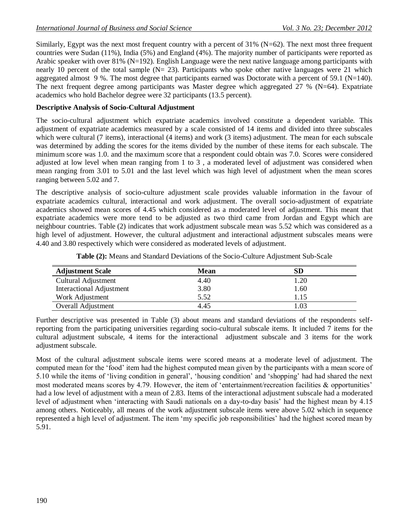Similarly, Egypt was the next most frequent country with a percent of  $31\%$  (N=62). The next most three frequent countries were Sudan (11%), India (5%) and England (4%). The majority number of participants were reported as Arabic speaker with over 81% (N=192). English Language were the next native language among participants with nearly 10 percent of the total sample (N= 23). Participants who spoke other native languages were 21 which aggregated almost 9 %. The most degree that participants earned was Doctorate with a percent of 59.1 (N=140). The next frequent degree among participants was Master degree which aggregated 27 % (N=64). Expatriate academics who hold Bachelor degree were 32 participants (13.5 percent).

### **Descriptive Analysis of Socio-Cultural Adjustment**

The socio-cultural adjustment which expatriate academics involved constitute a dependent variable. This adjustment of expatriate academics measured by a scale consisted of 14 items and divided into three subscales which were cultural (7 items), interactional (4 items) and work (3 items) adjustment. The mean for each subscale was determined by adding the scores for the items divided by the number of these items for each subscale. The minimum score was 1.0. and the maximum score that a respondent could obtain was 7.0. Scores were considered adjusted at low level when mean ranging from 1 to 3 , a moderated level of adjustment was considered when mean ranging from 3.01 to 5.01 and the last level which was high level of adjustment when the mean scores ranging between 5.02 and 7.

The descriptive analysis of socio-culture adjustment scale provides valuable information in the favour of expatriate academics cultural, interactional and work adjustment. The overall socio-adjustment of expatriate academics showed mean scores of 4.45 which considered as a moderated level of adjustment. This meant that expatriate academics were more tend to be adjusted as two third came from Jordan and Egypt which are neighbour countries. Table (2) indicates that work adjustment subscale mean was 5.52 which was considered as a high level of adjustment. However, the cultural adjustment and interactional adjustment subscales means were 4.40 and 3.80 respectively which were considered as moderated levels of adjustment.

| <b>Adjustment Scale</b>         | <b>Mean</b> | ${\bf SD}$        |
|---------------------------------|-------------|-------------------|
| Cultural Adjustment             | 4.40        | 1.20              |
| <b>Interactional Adjustment</b> | 3.80        | 1.60              |
| Work Adjustment                 | 5.52        | 1.15              |
| Overall Adjustment              | 4.45        | $\overline{0.03}$ |

**Table (2):** Means and Standard Deviations of the Socio-Culture Adjustment Sub-Scale

Further descriptive was presented in Table (3) about means and standard deviations of the respondents selfreporting from the participating universities regarding socio-cultural subscale items. It included 7 items for the cultural adjustment subscale, 4 items for the interactional adjustment subscale and 3 items for the work adjustment subscale.

Most of the cultural adjustment subscale items were scored means at a moderate level of adjustment. The computed mean for the "food" item had the highest computed mean given by the participants with a mean score of 5.10 while the items of "living condition in general", "housing condition" and "shopping" had had shared the next most moderated means scores by 4.79. However, the item of "entertainment/recreation facilities & opportunities" had a low level of adjustment with a mean of 2.83. Items of the interactional adjustment subscale had a moderated level of adjustment when 'interacting with Saudi nationals on a day-to-day basis' had the highest mean by 4.15 among others. Noticeably, all means of the work adjustment subscale items were above 5.02 which in sequence represented a high level of adjustment. The item "my specific job responsibilities" had the highest scored mean by 5.91.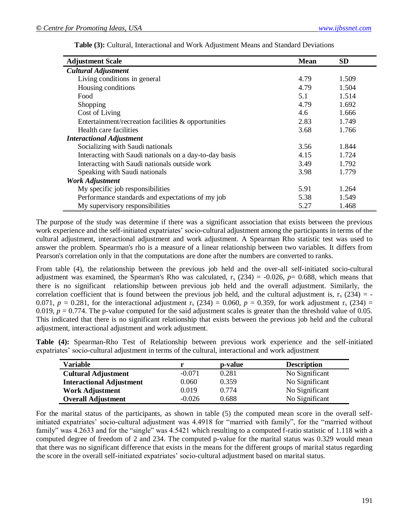| <b>Adjustment Scale</b>                                | <b>Mean</b> | <b>SD</b> |
|--------------------------------------------------------|-------------|-----------|
| <b>Cultural Adjustment</b>                             |             |           |
| Living conditions in general                           | 4.79        | 1.509     |
| Housing conditions                                     | 4.79        | 1.504     |
| Food                                                   | 5.1         | 1.514     |
| Shopping                                               | 4.79        | 1.692     |
| Cost of Living                                         | 4.6         | 1.666     |
| Entertainment/recreation facilities $\&$ opportunities | 2.83        | 1.749     |
| Health care facilities                                 | 3.68        | 1.766     |
| <b>Interactional Adjustment</b>                        |             |           |
| Socializing with Saudi nationals                       | 3.56        | 1.844     |
| Interacting with Saudi nationals on a day-to-day basis | 4.15        | 1.724     |
| Interacting with Saudi nationals outside work          | 3.49        | 1.792     |
| Speaking with Saudi nationals                          | 3.98        | 1.779     |
| <b>Work Adjustment</b>                                 |             |           |
| My specific job responsibilities                       | 5.91        | 1.264     |
| Performance standards and expectations of my job       | 5.38        | 1.549     |
| My supervisory responsibilities                        | 5.27        | 1.468     |

**Table (3):** Cultural, Interactional and Work Adjustment Means and Standard Deviations

The purpose of the study was determine if there was a significant association that exists between the previous work experience and the self-initiated expatriates" socio-cultural adjustment among the participants in terms of the cultural adjustment, interactional adjustment and work adjustment. A Spearman Rho statistic test was used to answer the problem. Spearman's rho is a measure of a linear relationship between two variables. It differs from Pearson's correlation only in that the computations are done after the numbers are converted to ranks.

From table (4), the relationship between the previous job held and the over-all self-initiated socio-cultural adjustment was examined, the Spearman's Rho was calculated,  $r_s$  (234) = -0.026,  $p=$  0.688, which means that there is no significant relationship between previous job held and the overall adjustment. Similarly, the correlation coefficient that is found between the previous job held, and the cultural adjustment is,  $r_s$  (234) = -0.071,  $p = 0.281$ , for the interactional adjustment  $r_s$  (234) = 0.060,  $p = 0.359$ , for work adjustment  $r_s$  (234) = 0.019,  $p = 0.774$ . The p-value computed for the said adjustment scales is greater than the threshold value of 0.05. This indicated that there is no significant relationship that exists between the previous job held and the cultural adjustment, interactional adjustment and work adjustment.

**Table (4):** Spearman-Rho Test of Relationship between previous work experience and the self-initiated expatriates" socio-cultural adjustment in terms of the cultural, interactional and work adjustment

| Variable                        |          | p-value | <b>Description</b> |
|---------------------------------|----------|---------|--------------------|
| <b>Cultural Adjustment</b>      | $-0.071$ | 0.281   | No Significant     |
| <b>Interactional Adjustment</b> | 0.060    | 0.359   | No Significant     |
| <b>Work Adjustment</b>          | 0.019    | 0.774   | No Significant     |
| <b>Overall Adjustment</b>       | $-0.026$ | 0.688   | No Significant     |

For the marital status of the participants, as shown in table (5) the computed mean score in the overall selfinitiated expatriates" socio-cultural adjustment was 4.4918 for "married with family", for the "married without family" was 4.2633 and for the "single" was 4.5421 which resulting to a computed f-ratio statistic of 1.118 with a computed degree of freedom of 2 and 234. The computed p-value for the marital status was 0.329 would mean that there was no significant difference that exists in the means for the different groups of marital status regarding the score in the overall self-initiated expatriates" socio-cultural adjustment based on marital status.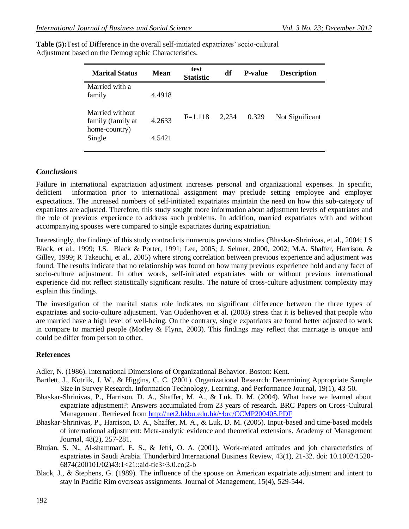| <b>Marital Status</b>                                 | Mean   | test<br><b>Statistic</b> | df    | <b>P-value</b> | <b>Description</b> |
|-------------------------------------------------------|--------|--------------------------|-------|----------------|--------------------|
| Married with a<br>family                              | 4.4918 |                          |       |                |                    |
| Married without<br>family (family at<br>home-country) | 4.2633 | $F=1.118$                | 2.234 | 0.329          | Not Significant    |
| Single                                                | 4.5421 |                          |       |                |                    |

Table (5): Test of Difference in the overall self-initiated expatriates' socio-cultural Adjustment based on the Demographic Characteristics.

# *Conclusions*

Failure in international expatriation adjustment increases personal and organizational expenses. In specific, deficient information prior to international assignment may preclude setting employee and employer expectations. The increased numbers of self-initiated expatriates maintain the need on how this sub-category of expatriates are adjusted. Therefore, this study sought more information about adjustment levels of expatriates and the role of previous experience to address such problems. In addition, married expatriates with and without accompanying spouses were compared to single expatriates during expatriation.

Interestingly, the findings of this study contradicts numerous previous studies [\(Bhaskar-Shrinivas, et al., 2004;](#page-8-1) [J S](#page-9-3)  [Black, et al., 1999;](#page-9-3) [J.S. Black & Porter, 1991;](#page-9-23) [Lee, 2005;](#page-9-24) [J. Selmer, 2000,](#page-10-20) [2002;](#page-10-21) [M.A. Shaffer, Harrison, &](#page-10-22)  [Gilley,](#page-10-22) 1999; [R Takeuchi, et al., 2005\)](#page-10-13) where strong correlation between previous experience and adjustment was found. The results indicate that no relationship was found on how many previous experience hold and any facet of socio-culture adjustment. In other words, self-initiated expatriates with or without previous international experience did not reflect statistically significant results. The nature of cross-culture adjustment complexity may explain this findings.

The investigation of the marital status role indicates no significant difference between the three types of expatriates and socio-culture adjustment. Van Oudenhoven et al. (2003) stress that it is believed that people who are married have a high level of well-being. On the contrary, single expatriates are found better adjusted to work in compare to married people (Morley & Flynn, 2003). This findings may reflect that marriage is unique and could be differ from person to other.

## **References**

<span id="page-8-4"></span>Adler, N. (1986). International Dimensions of Organizational Behavior. Boston: Kent.

- <span id="page-8-5"></span>Bartlett, J., Kotrlik, J. W., & Higgins, C. C. (2001). Organizational Research: Determining Appropriate Sample Size in Survey Research. Information Technology, Learning, and Performance Journal, 19(1), 43-50.
- <span id="page-8-1"></span>Bhaskar-Shrinivas, P., Harrison, D. A., Shaffer, M. A., & Luk, D. M. (2004). What have we learned about expatriate adjustment?: Answers accumulated from 23 years of research. BRC Papers on Cross-Cultural Management. Retrieved from<http://net2.hkbu.edu.hk/~brc/CCMP200405.PDF>
- <span id="page-8-0"></span>Bhaskar-Shrinivas, P., Harrison, D. A., Shaffer, M. A., & Luk, D. M. (2005). Input-based and time-based models of international adjustment: Meta-analytic evidence and theoretical extensions. Academy of Management Journal, 48(2), 257-281.
- <span id="page-8-6"></span>Bhuian, S. N., Al-shammari, E. S., & Jefri, O. A. (2001). Work-related attitudes and job characteristics of expatriates in Saudi Arabia. Thunderbird International Business Review, 43(1), 21-32. doi: 10.1002/1520- 6874(200101/02)43:1<21::aid-tie3>3.0.co;2-b
- <span id="page-8-3"></span><span id="page-8-2"></span>Black, J., & Stephens, G. (1989). The influence of the spouse on American expatriate adjustment and intent to stay in Pacific Rim overseas assignments. Journal of Management, 15(4), 529-544.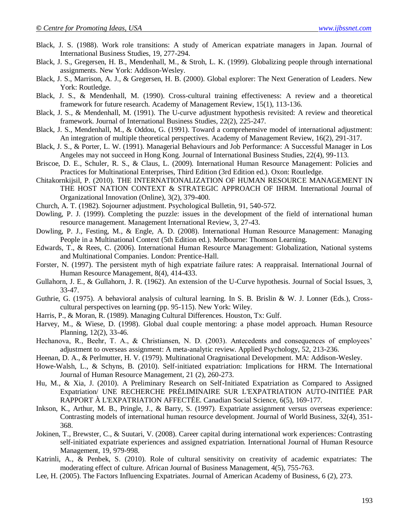- Black, J. S. (1988). Work role transitions: A study of American expatriate managers in Japan. Journal of International Business Studies, 19, 277-294.
- <span id="page-9-3"></span>Black, J. S., Gregersen, H. B., Mendenhall, M., & Stroh, L. K. (1999). Globalizing people through international assignments. New York: Addison-Wesley.
- <span id="page-9-9"></span>Black, J. S., Marrison, A. J., & Gregersen, H. B. (2000). Global explorer: The Next Generation of Leaders. New York: Routledge.
- <span id="page-9-19"></span>Black, J. S., & Mendenhall, M. (1990). Cross-cultural training effectiveness: A review and a theoretical framework for future research. Academy of Management Review, 15(1), 113-136.
- <span id="page-9-16"></span>Black, J. S., & Mendenhall, M. (1991). The U-curve adjustment hypothesis revisited: A review and theoretical framework. Journal of International Business Studies, 22(2), 225-247.
- <span id="page-9-13"></span>Black, J. S., Mendenhall, M., & Oddou, G. (1991). Toward a comprehensive model of international adjustment: An integration of multiple theoretical perspectives. Academy of Management Review, 16(2), 291-317.
- <span id="page-9-23"></span>Black, J. S., & Porter, L. W. (1991). Managerial Behaviours and Job Performance: A Successful Manager in Los Angeles may not succeed in Hong Kong. Journal of International Business Studies, 22(4), 99-113.
- <span id="page-9-0"></span>Briscoe, D. E., Schuler, R. S., & Claus, L. (2009). International Human Resource Management: Policies and Practices for Multinational Enterprises, Third Edition (3rd Edition ed.). Oxon: Routledge.
- <span id="page-9-10"></span>Chitakornkijsil, P. (2010). THE INTERNATIONALIZATION OF HUMAN RESOURCE MANAGEMENT IN THE HOST NATION CONTEXT & STRATEGIC APPROACH OF IHRM. International Journal of Organizational Innovation (Online), 3(2), 379-400.
- <span id="page-9-17"></span>Church, A. T. (1982). Sojourner adjustment. Psychological Bulletin, 91, 540-572.
- <span id="page-9-2"></span>Dowling, P. J. (1999). Completing the puzzle: issues in the development of the field of international human resource management. Management International Review, 3, 27-43.
- <span id="page-9-1"></span>Dowling, P. J., Festing, M., & Engle, A. D. (2008). International Human Resource Management: Managing People in a Multinational Context (5th Edition ed.). Melbourne: Thomson Learning.
- <span id="page-9-11"></span>Edwards, T., & Rees, C. (2006). International Human Resource Management: Globalization, National systems and Multinational Companies. London: Prentice-Hall.
- <span id="page-9-15"></span>Forster, N. (1997). The persistent myth of high expatriate failure rates: A reappraisal. International Journal of Human Resource Management, 8(4), 414-433.
- <span id="page-9-20"></span>Gullahorn, J. E., & Gullahorn, J. R. (1962). An extension of the U-Curve hypothesis. Journal of Social Issues, 3, 33-47.
- <span id="page-9-22"></span>Guthrie, G. (1975). A behavioral analysis of cultural learning. In S. B. Brislin & W. J. Lonner (Eds.), Crosscultural perspectives on learning (pp. 95-115). New York: Wiley.
- <span id="page-9-21"></span>Harris, P., & Moran, R. (1989). Managing Cultural Differences. Houston, Tx: Gulf.
- <span id="page-9-14"></span>Harvey, M., & Wiese, D. (1998). Global dual couple mentoring: a phase model approach. Human Resource Planning, 12(2), 33-46.
- <span id="page-9-4"></span>Hechanova, R., Beehr, T. A., & Christiansen, N. D. (2003). Antecedents and consequences of employees' adjustment to overseas assignment: A meta-analytic review. Applied Psychology, 52, 213-236.
- <span id="page-9-8"></span>Heenan, D. A., & Perlmutter, H. V. (1979). Multinational Oragnisational Development. MA: Addison-Wesley.
- Howe-Walsh, L., & Schyns, B. (2010). Self-initiated expatriation: Implications for HRM. The International Journal of Human Resource Management, 21 (2), 260-273.
- <span id="page-9-7"></span>Hu, M., & Xia, J. (2010). A Preliminary Research on Self-Initiated Expatriation as Compared to Assigned Expatriation/ UNE RECHERCHE PRÉLIMINAIRE SUR L'EXPATRIATION AUTO-INITIÉE PAR RAPPORT À L'EXPATRIATION AFFECTÉE. Canadian Social Science, 6(5), 169-177.
- <span id="page-9-5"></span>Inkson, K., Arthur, M. B., Pringle, J., & Barry, S. (1997). Expatriate assignment versus overseas experience: Contrasting models of international human resource development. Journal of World Business, 32(4), 351- 368.
- <span id="page-9-6"></span>Jokinen, T., Brewster, C., & Suutari, V. (2008). Career capital during international work experiences: Contrasting self-initiated expatriate experiences and assigned expatriation. International Journal of Human Resource Management, 19, 979-998.
- <span id="page-9-12"></span>Katrinli, A., & Penbek, S. (2010). Role of cultural sensitivity on creativity of academic expatriates: The moderating effect of culture. African Journal of Business Management, 4(5), 755-763.
- <span id="page-9-24"></span><span id="page-9-18"></span>Lee, H. (2005). The Factors Influencing Expatriates. Journal of American Academy of Business, 6 (2), 273.